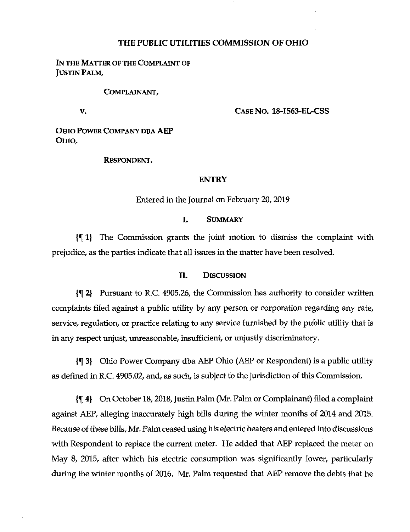# **THE PUBLIC UTILITIES COMMISSION OF OHIO**

IN THE MATTER OF THE COMPLAINT OF Justin Palm,

#### Complainant,

**V.**

# **Case No. 18-1563-EL-CSS**

Ohio Power Company dba AEP Ohio,

#### Respondent.

#### ENTRY

# Entered in the Journal on February 20,2019

## I. Summary

{f 1) The Commission grants the joint motion to dismiss the complaint with prejudice, as the parties indicate that all issues in the matter have been resolved.

### II. Discussion

{f 2} Pursuant to R.C. 4905.26, the Commission has authority to consider written complaints filed against a public utility by any person or corporation regarding any rate, service, regulation, or practice relating to any service furnished by the public utility that is in any respect unjust, unreasonable, insufficient, or unjustly discriminatory.

{f 3} Ohio Power Company dba AEP Ohio (AEP or Respondent) is a public utility as defined in R.C. 4905.02, and, as such, is subject to the jurisdiction of this Commission.

{% 4} On October 18,2018,Justin Palm (Mr. Palm or Complainant) filed a complaint against AEP, alleging inaccurately high bills during the winter months of 2014 and 2015. Because of these bills, Mr. Palm ceased using his electric heaters and entered into discussions with Respondent to replace the current meter. He added that AEP replaced the meter on May 8, 2015, after which his electric consumption was significantly lower, particularly during the winter months of 2016. Mr. Palm requested that AEP remove the debts that he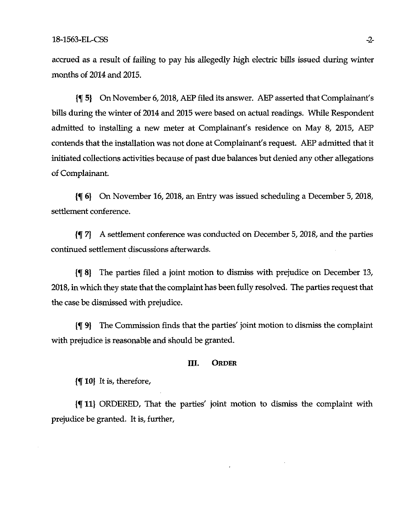accrued as a result of failing to pay his allegedly high electric bills issued during winter months of 2014 and 2015.

[9] On November 6, 2018, AEP filed its answer. AEP asserted that Complainant's bills during the winter of 2014 and 2015 were based on actual readings. While Respondent admitted to installing a new meter at Complainant's residence on May 8, 2015, AEP contends that the installation was not done at Complainant's request. AEP admitted that it initiated collections activities because of past due balances but denied any other allegations of Complainant.

6} On November 16, 2018, an Entry was issued scheduling a December 5, 2018, settlement conference.

{^7] A settlement conference was conducted on December 5,2018, and the parties continued settlement discussions afterwards.

{f 8| The parties filed a joint motion to dismiss with prejudice on December 13, 2018, in which they state that the complaint has been fully resolved. The parties request that the case be dismissed with prejudice.

{f 9) The Commission finds that the parties' joint motion to dismiss the complaint with prejudice is reasonable and should be granted.

#### III. **ORDER**

 $\{\P \ 10\}$  It is, therefore,

{f 11} ORDERED, That the parties' joint motion to dismiss the complaint with prejudice be granted. It is, further.